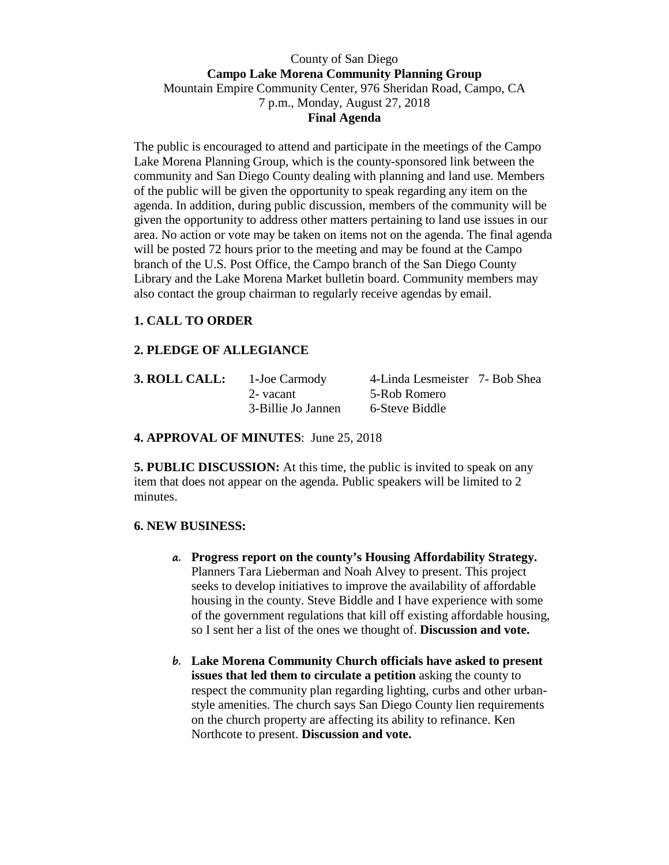## County of San Diego **Campo Lake Morena Community Planning Group**  Mountain Empire Community Center, 976 Sheridan Road, Campo, CA 7 p.m., Monday, August 27, 2018 **Final Agenda**

The public is encouraged to attend and participate in the meetings of the Campo Lake Morena Planning Group, which is the county-sponsored link between the community and San Diego County dealing with planning and land use. Members of the public will be given the opportunity to speak regarding any item on the agenda. In addition, during public discussion, members of the community will be given the opportunity to address other matters pertaining to land use issues in our area. No action or vote may be taken on items not on the agenda. The final agenda will be posted 72 hours prior to the meeting and may be found at the Campo branch of the U.S. Post Office, the Campo branch of the San Diego County Library and the Lake Morena Market bulletin board. Community members may also contact the group chairman to regularly receive agendas by email.

# **1. CALL TO ORDER**

# **2. PLEDGE OF ALLEGIANCE**

| 3. ROLL CALL: | 1-Joe Carmody      | 4-Linda Lesmeister 7- Bob Shea |  |
|---------------|--------------------|--------------------------------|--|
|               | 2- vacant          | 5-Rob Romero                   |  |
|               | 3-Billie Jo Jannen | 6-Steve Biddle                 |  |

### **4. APPROVAL OF MINUTES**: June 25, 2018

**5. PUBLIC DISCUSSION:** At this time, the public is invited to speak on any item that does not appear on the agenda. Public speakers will be limited to 2 minutes.

### **6. NEW BUSINESS:**

- **a. Progress report on the county's Housing Affordability Strategy.**  Planners Tara Lieberman and Noah Alvey to present. This project seeks to develop initiatives to improve the availability of affordable housing in the county. Steve Biddle and I have experience with some of the government regulations that kill off existing affordable housing, so I sent her a list of the ones we thought of. **Discussion and vote.**
- **b. Lake Morena Community Church officials have asked to present issues that led them to circulate a petition** asking the county to respect the community plan regarding lighting, curbs and other urbanstyle amenities. The church says San Diego County lien requirements on the church property are affecting its ability to refinance. Ken Northcote to present. **Discussion and vote.**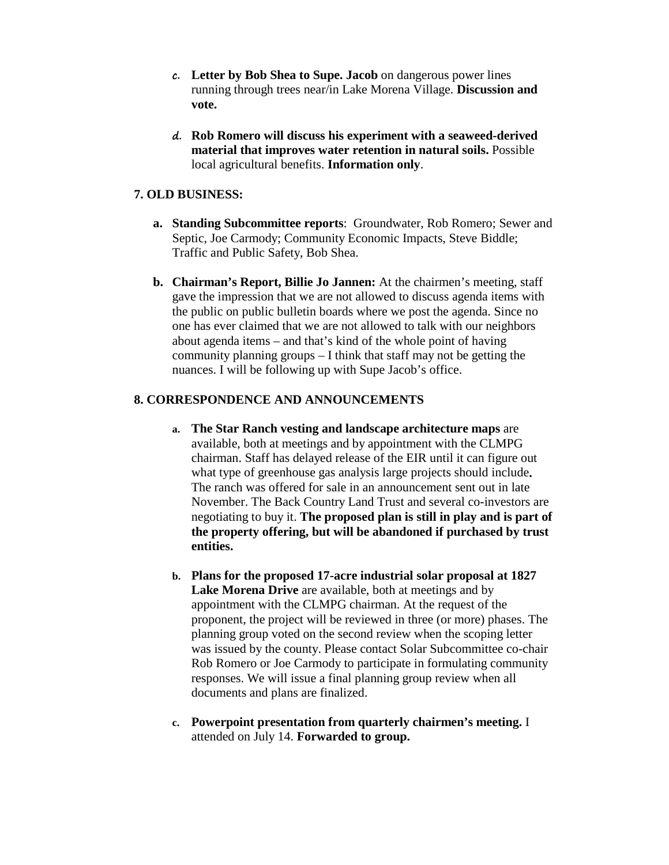- **c. Letter by Bob Shea to Supe. Jacob** on dangerous power lines running through trees near/in Lake Morena Village. **Discussion and vote.**
- **d. Rob Romero will discuss his experiment with a seaweed-derived material that improves water retention in natural soils.** Possible local agricultural benefits. **Information only**.

## **7. OLD BUSINESS:**

- **a. Standing Subcommittee reports**: Groundwater, Rob Romero; Sewer and Septic, Joe Carmody; Community Economic Impacts, Steve Biddle; Traffic and Public Safety, Bob Shea.
- **b. Chairman's Report, Billie Jo Jannen:** At the chairmen's meeting, staff gave the impression that we are not allowed to discuss agenda items with the public on public bulletin boards where we post the agenda. Since no one has ever claimed that we are not allowed to talk with our neighbors about agenda items – and that's kind of the whole point of having community planning groups – I think that staff may not be getting the nuances. I will be following up with Supe Jacob's office.

### **8. CORRESPONDENCE AND ANNOUNCEMENTS**

- **a. The Star Ranch vesting and landscape architecture maps** are available, both at meetings and by appointment with the CLMPG chairman. Staff has delayed release of the EIR until it can figure out what type of greenhouse gas analysis large projects should include**.**  The ranch was offered for sale in an announcement sent out in late November. The Back Country Land Trust and several co-investors are negotiating to buy it. **The proposed plan is still in play and is part of the property offering, but will be abandoned if purchased by trust entities.**
- **b. Plans for the proposed 17-acre industrial solar proposal at 1827 Lake Morena Drive** are available, both at meetings and by appointment with the CLMPG chairman. At the request of the proponent, the project will be reviewed in three (or more) phases. The planning group voted on the second review when the scoping letter was issued by the county. Please contact Solar Subcommittee co-chair Rob Romero or Joe Carmody to participate in formulating community responses. We will issue a final planning group review when all documents and plans are finalized.
- **c. Powerpoint presentation from quarterly chairmen's meeting.** I attended on July 14. **Forwarded to group.**